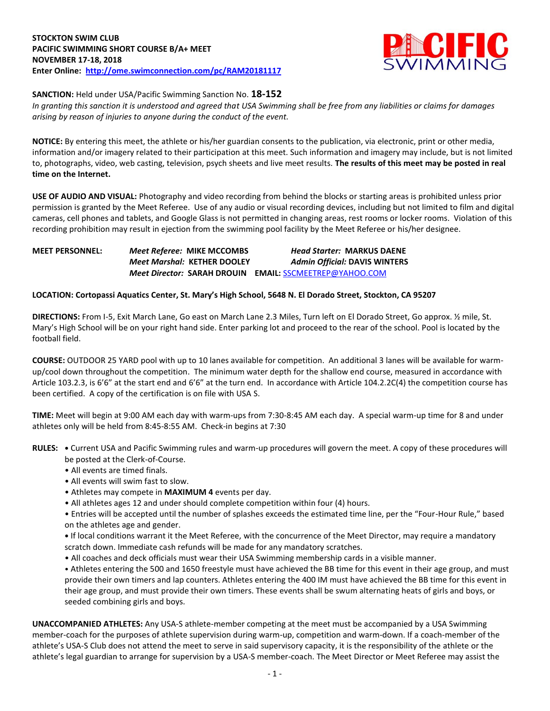

## **SANCTION:** Held under USA/Pacific Swimming Sanction No. **18-152**

*In granting this sanction it is understood and agreed that USA Swimming shall be free from any liabilities or claims for damages arising by reason of injuries to anyone during the conduct of the event.* 

**NOTICE:** By entering this meet, the athlete or his/her guardian consents to the publication, via electronic, print or other media, information and/or imagery related to their participation at this meet. Such information and imagery may include, but is not limited to, photographs, video, web casting, television, psych sheets and live meet results. **The results of this meet may be posted in real time on the Internet.**

**USE OF AUDIO AND VISUAL:** Photography and video recording from behind the blocks or starting areas is prohibited unless prior permission is granted by the Meet Referee. Use of any audio or visual recording devices, including but not limited to film and digital cameras, cell phones and tablets, and Google Glass is not permitted in changing areas, rest rooms or locker rooms. Violation of this recording prohibition may result in ejection from the swimming pool facility by the Meet Referee or his/her designee.

# **MEET PERSONNEL:** *Meet Referee:* **MIKE MCCOMBS** *Head Starter:* **MARKUS DAENE** *Meet Marshal:* **KETHER DOOLEY** *Admin Official:* **DAVIS WINTERS** *Meet Director:* **SARAH DROUIN EMAIL:** [SSCMEETREP@YAHOO.COM](mailto:SSCMEETREP@YAHOO.COM)

### **LOCATION: Cortopassi Aquatics Center, St. Mary's High School, 5648 N. El Dorado Street, Stockton, CA 95207**

**DIRECTIONS:** From I-5, Exit March Lane, Go east on March Lane 2.3 Miles, Turn left on El Dorado Street, Go approx. ½ mile, St. Mary's High School will be on your right hand side. Enter parking lot and proceed to the rear of the school. Pool is located by the football field.

**COURSE:** OUTDOOR 25 YARD pool with up to 10 lanes available for competition. An additional 3 lanes will be available for warmup/cool down throughout the competition. The minimum water depth for the shallow end course, measured in accordance with Article 103.2.3, is 6'6" at the start end and 6'6" at the turn end. In accordance with Article 104.2.2C(4) the competition course has been certified. A copy of the certification is on file with USA S.

**TIME:** Meet will begin at 9:00 AM each day with warm-ups from 7:30-8:45 AM each day. A special warm-up time for 8 and under athletes only will be held from 8:45-8:55 AM. Check-in begins at 7:30

**RULES: •** Current USA and Pacific Swimming rules and warm-up procedures will govern the meet. A copy of these procedures will be posted at the Clerk-of-Course.

- All events are timed finals.
- All events will swim fast to slow.
- Athletes may compete in **MAXIMUM 4** events per day.
- All athletes ages 12 and under should complete competition within four (4) hours.

• Entries will be accepted until the number of splashes exceeds the estimated time line, per the "Four-Hour Rule," based on the athletes age and gender.

**•** If local conditions warrant it the Meet Referee, with the concurrence of the Meet Director, may require a mandatory scratch down. Immediate cash refunds will be made for any mandatory scratches.

• All coaches and deck officials must wear their USA Swimming membership cards in a visible manner.

• Athletes entering the 500 and 1650 freestyle must have achieved the BB time for this event in their age group, and must provide their own timers and lap counters. Athletes entering the 400 IM must have achieved the BB time for this event in their age group, and must provide their own timers. These events shall be swum alternating heats of girls and boys, or seeded combining girls and boys.

**UNACCOMPANIED ATHLETES:** Any USA-S athlete-member competing at the meet must be accompanied by a USA Swimming member-coach for the purposes of athlete supervision during warm-up, competition and warm-down. If a coach-member of the athlete's USA-S Club does not attend the meet to serve in said supervisory capacity, it is the responsibility of the athlete or the athlete's legal guardian to arrange for supervision by a USA-S member-coach. The Meet Director or Meet Referee may assist the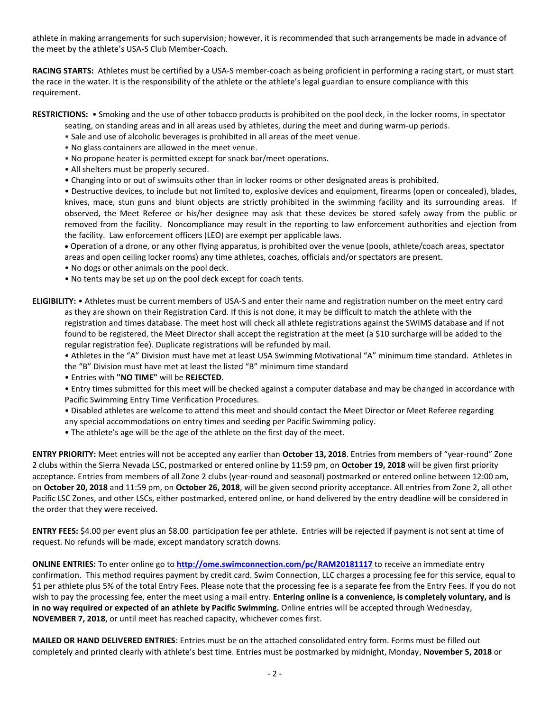athlete in making arrangements for such supervision; however, it is recommended that such arrangements be made in advance of the meet by the athlete's USA-S Club Member-Coach.

**RACING STARTS:** Athletes must be certified by a USA-S member-coach as being proficient in performing a racing start, or must start the race in the water. It is the responsibility of the athlete or the athlete's legal guardian to ensure compliance with this requirement.

**RESTRICTIONS:** • Smoking and the use of other tobacco products is prohibited on the pool deck, in the locker rooms, in spectator

seating, on standing areas and in all areas used by athletes, during the meet and during warm-up periods.

- Sale and use of alcoholic beverages is prohibited in all areas of the meet venue.
- No glass containers are allowed in the meet venue.
- No propane heater is permitted except for snack bar/meet operations.
- All shelters must be properly secured.
- Changing into or out of swimsuits other than in locker rooms or other designated areas is prohibited.

• Destructive devices, to include but not limited to, explosive devices and equipment, firearms (open or concealed), blades, knives, mace, stun guns and blunt objects are strictly prohibited in the swimming facility and its surrounding areas. If observed, the Meet Referee or his/her designee may ask that these devices be stored safely away from the public or removed from the facility. Noncompliance may result in the reporting to law enforcement authorities and ejection from the facility. Law enforcement officers (LEO) are exempt per applicable laws.

 Operation of a drone, or any other flying apparatus, is prohibited over the venue (pools, athlete/coach areas, spectator areas and open ceiling locker rooms) any time athletes, coaches, officials and/or spectators are present.

- No dogs or other animals on the pool deck.
- No tents may be set up on the pool deck except for coach tents.

**ELIGIBILITY:** • Athletes must be current members of USA-S and enter their name and registration number on the meet entry card as they are shown on their Registration Card. If this is not done, it may be difficult to match the athlete with the registration and times database. The meet host will check all athlete registrations against the SWIMS database and if not found to be registered, the Meet Director shall accept the registration at the meet (a \$10 surcharge will be added to the regular registration fee). Duplicate registrations will be refunded by mail.

• Athletes in the "A" Division must have met at least USA Swimming Motivational "A" minimum time standard. Athletes in the "B" Division must have met at least the listed "B" minimum time standard

• Entries with **"NO TIME"** will be **REJECTED**.

• Entry times submitted for this meet will be checked against a computer database and may be changed in accordance with Pacific Swimming Entry Time Verification Procedures.

• Disabled athletes are welcome to attend this meet and should contact the Meet Director or Meet Referee regarding any special accommodations on entry times and seeding per Pacific Swimming policy.

• The athlete's age will be the age of the athlete on the first day of the meet.

**ENTRY PRIORITY:** Meet entries will not be accepted any earlier than **October 13, 2018**. Entries from members of "year-round" Zone 2 clubs within the Sierra Nevada LSC, postmarked or entered online by 11:59 pm, on **October 19, 2018** will be given first priority acceptance. Entries from members of all Zone 2 clubs (year-round and seasonal) postmarked or entered online between 12:00 am, on **October 20, 2018** and 11:59 pm, on **October 26, 2018**, will be given second priority acceptance. All entries from Zone 2, all other Pacific LSC Zones, and other LSCs, either postmarked, entered online, or hand delivered by the entry deadline will be considered in the order that they were received.

**ENTRY FEES:** \$4.00 per event plus an \$8.00 participation fee per athlete. Entries will be rejected if payment is not sent at time of request. No refunds will be made, except mandatory scratch downs.

**ONLINE ENTRIES:** To enter online go to **<http://ome.swimconnection.com/pc/RAM20181117>** to receive an immediate entry confirmation. This method requires payment by credit card. Swim Connection, LLC charges a processing fee for this service, equal to \$1 per athlete plus 5% of the total Entry Fees. Please note that the processing fee is a separate fee from the Entry Fees. If you do not wish to pay the processing fee, enter the meet using a mail entry. **Entering online is a convenience, is completely voluntary, and is in no way required or expected of an athlete by Pacific Swimming.** Online entries will be accepted through Wednesday, **NOVEMBER 7, 2018**, or until meet has reached capacity, whichever comes first.

**MAILED OR HAND DELIVERED ENTRIES**: Entries must be on the attached consolidated entry form. Forms must be filled out completely and printed clearly with athlete's best time. Entries must be postmarked by midnight, Monday, **November 5, 2018** or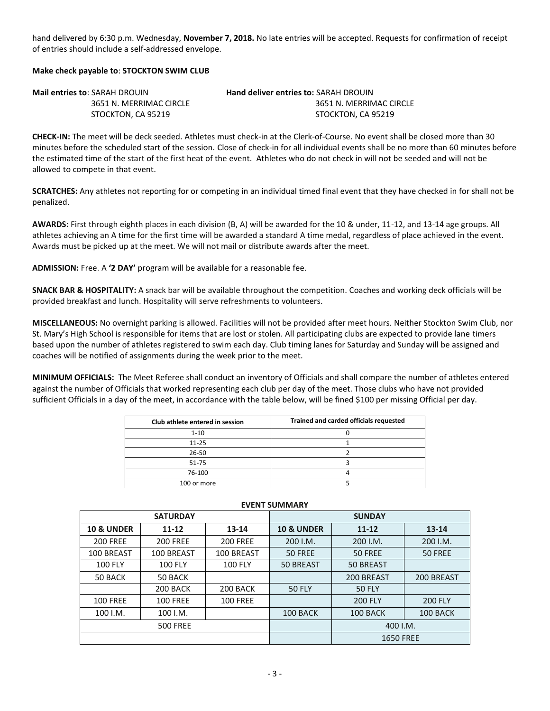hand delivered by 6:30 p.m. Wednesday, **November 7, 2018.** No late entries will be accepted. Requests for confirmation of receipt of entries should include a self-addressed envelope.

## **Make check payable to**: **STOCKTON SWIM CLUB**

| <b>Mail entries to: SARAH DROUIN</b> | <b>Hand deliver entries to: SARAH DROUIN</b> |
|--------------------------------------|----------------------------------------------|
| 3651 N. MERRIMAC CIRCLE              | 3651 N. MERRIMAC CIRCLE                      |
| STOCKTON. CA 95219                   | STOCKTON, CA 95219                           |

**CHECK-IN:** The meet will be deck seeded. Athletes must check-in at the Clerk-of-Course. No event shall be closed more than 30 minutes before the scheduled start of the session. Close of check-in for all individual events shall be no more than 60 minutes before the estimated time of the start of the first heat of the event. Athletes who do not check in will not be seeded and will not be allowed to compete in that event.

**SCRATCHES:** Any athletes not reporting for or competing in an individual timed final event that they have checked in for shall not be penalized.

**AWARDS:** First through eighth places in each division (B, A) will be awarded for the 10 & under, 11-12, and 13-14 age groups. All athletes achieving an A time for the first time will be awarded a standard A time medal, regardless of place achieved in the event. Awards must be picked up at the meet. We will not mail or distribute awards after the meet.

**ADMISSION:** Free. A **'2 DAY'** program will be available for a reasonable fee.

**SNACK BAR & HOSPITALITY:** A snack bar will be available throughout the competition. Coaches and working deck officials will be provided breakfast and lunch. Hospitality will serve refreshments to volunteers.

**MISCELLANEOUS:** No overnight parking is allowed. Facilities will not be provided after meet hours. Neither Stockton Swim Club, nor St. Mary's High School is responsible for items that are lost or stolen. All participating clubs are expected to provide lane timers based upon the number of athletes registered to swim each day. Club timing lanes for Saturday and Sunday will be assigned and coaches will be notified of assignments during the week prior to the meet.

**MINIMUM OFFICIALS:** The Meet Referee shall conduct an inventory of Officials and shall compare the number of athletes entered against the number of Officials that worked representing each club per day of the meet. Those clubs who have not provided sufficient Officials in a day of the meet, in accordance with the table below, will be fined \$100 per missing Official per day.

| Club athlete entered in session | Trained and carded officials requested |
|---------------------------------|----------------------------------------|
| $1 - 10$                        |                                        |
| $11 - 25$                       |                                        |
| 26-50                           |                                        |
| $51 - 75$                       |                                        |
| 76-100                          |                                        |
| 100 or more                     |                                        |

| _ , _ , , , _ , _ , , , , , , , , , |                 |                 |                                |                  |                |  |  |  |  |
|-------------------------------------|-----------------|-----------------|--------------------------------|------------------|----------------|--|--|--|--|
|                                     | <b>SATURDAY</b> |                 | <b>SUNDAY</b>                  |                  |                |  |  |  |  |
| <b>10 &amp; UNDER</b>               | $11 - 12$       | 13-14           | <b>10 &amp; UNDER</b>          | $11 - 12$        | $13 - 14$      |  |  |  |  |
| <b>200 FREE</b>                     | <b>200 FREE</b> | <b>200 FREE</b> | 200 I.M.                       | 200 I.M.         | 200 I.M.       |  |  |  |  |
| 100 BREAST                          | 100 BREAST      | 100 BREAST      | 50 FREE                        | 50 FREE          | 50 FREE        |  |  |  |  |
| <b>100 FLY</b>                      | <b>100 FLY</b>  | <b>100 FLY</b>  | <b>50 BREAST</b>               | <b>50 BREAST</b> |                |  |  |  |  |
| 50 BACK                             | 50 BACK         |                 | 200 BREAST                     |                  | 200 BREAST     |  |  |  |  |
|                                     | 200 BACK        | 200 BACK        | <b>50 FLY</b><br><b>50 FLY</b> |                  |                |  |  |  |  |
| <b>100 FREE</b>                     | <b>100 FREE</b> | <b>100 FREE</b> |                                | <b>200 FLY</b>   | <b>200 FLY</b> |  |  |  |  |
| 100 I.M.                            | 100 I.M.        |                 | 100 BACK                       | 100 BACK         | 100 BACK       |  |  |  |  |
|                                     | <b>500 FREE</b> |                 |                                | 400 I.M.         |                |  |  |  |  |
|                                     |                 |                 |                                | <b>1650 FREE</b> |                |  |  |  |  |

# **EVENT SUMMARY**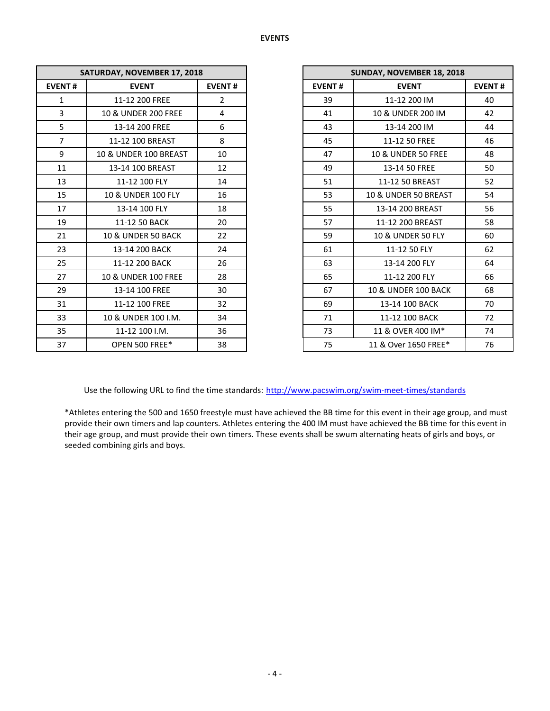|                | SATURDAY, NOVEMBER 17, 2018 |                |               | SUNDAY, NOVEMBER 18, 2018      |  |  |
|----------------|-----------------------------|----------------|---------------|--------------------------------|--|--|
| <b>EVENT#</b>  | <b>EVENT</b>                | <b>EVENT#</b>  | <b>EVENT#</b> | <b>EVENT</b>                   |  |  |
| $\mathbf{1}$   | 11-12 200 FREE              | $\overline{2}$ | 39            | 11-12 200 IM                   |  |  |
| $\overline{3}$ | 10 & UNDER 200 FREE         | 4              | 41            | 10 & UNDER 200 IM              |  |  |
| 5              | 13-14 200 FREE              | 6              | 43            | 13-14 200 IM                   |  |  |
| $\overline{7}$ | 11-12 100 BREAST            | 8              | 45            | 11-12 50 FREE                  |  |  |
| 9              | 10 & UNDER 100 BREAST       | 10             | 47            | <b>10 &amp; UNDER 50 FREE</b>  |  |  |
| 11             | 13-14 100 BREAST            | 12             | 49            | 13-14 50 FREE                  |  |  |
| 13             | 11-12 100 FLY               | 14             | 51            | 11-12 50 BREAST                |  |  |
| 15             | 10 & UNDER 100 FLY          | 16             | 53            | 10 & UNDER 50 BREAST           |  |  |
| 17             | 13-14 100 FLY               | 18             | 55            | 13-14 200 BREAST               |  |  |
| 19             | 11-12 50 BACK               | 20             | 57            | 11-12 200 BREAST               |  |  |
| 21             | 10 & UNDER 50 BACK          | 22             | 59            | 10 & UNDER 50 FLY              |  |  |
| 23             | 13-14 200 BACK              | 24             | 61            | 11-12 50 FLY                   |  |  |
| 25             | 11-12 200 BACK              | 26             | 63            | 13-14 200 FLY                  |  |  |
| 27             | 10 & UNDER 100 FREE         | 28             | 65            | 11-12 200 FLY                  |  |  |
| 29             | 13-14 100 FREE              | 30             | 67            | <b>10 &amp; UNDER 100 BACK</b> |  |  |
| 31             | 11-12 100 FREE              | 32             | 69            | 13-14 100 BACK                 |  |  |
| 33             | 10 & UNDER 100 I.M.         | 34             | 71            | 11-12 100 BACK                 |  |  |
| 35             | 11-12 100 I.M.              | 36             | 73            | 11 & OVER 400 IM*              |  |  |
| 37             | OPEN 500 FREE*              | 38             | 75            | 11 & Over 1650 FREE*           |  |  |

|                | SATURDAY, NOVEMBER 17, 2018      |                |
|----------------|----------------------------------|----------------|
| <b>EVENT#</b>  | <b>EVENT</b>                     | <b>EVENT#</b>  |
| $\mathbf{1}$   | 11-12 200 FREE                   | $\overline{2}$ |
| 3              | 10 & UNDER 200 FREE              | 4              |
| 5              | 13-14 200 FREE                   | 6              |
| $\overline{7}$ | 11-12 100 BREAST                 | 8              |
| 9              | <b>10 &amp; UNDER 100 BREAST</b> | 10             |
| 11             | 13-14 100 BREAST                 | 12             |
| 13             | 11-12 100 FLY                    | 14             |
| 15             | 10 & UNDER 100 FLY               | 16             |
| 17             | 13-14 100 FLY                    | 18             |
| 19             | 11-12 50 BACK                    | 20             |
| 21             | <b>10 &amp; UNDER 50 BACK</b>    | 22             |
| 23             | 13-14 200 BACK                   | 24             |
| 25             | 11-12 200 BACK                   | 26             |
| 27             | 10 & UNDER 100 FREE              | 28             |
| 29             | 13-14 100 FREE                   | 30             |
| 31             | 11-12 100 FREE                   | 32             |
| 33             | 10 & UNDER 100 I.M.              | 34             |
| 35             | 11-12 100 I.M.                   | 36             |
| 37             | OPEN 500 FREE*                   | 38             |

Use the following URL to find the time standards: <http://www.pacswim.org/swim-meet-times/standards>

\*Athletes entering the 500 and 1650 freestyle must have achieved the BB time for this event in their age group, and must provide their own timers and lap counters. Athletes entering the 400 IM must have achieved the BB time for this event in their age group, and must provide their own timers. These events shall be swum alternating heats of girls and boys, or seeded combining girls and boys.